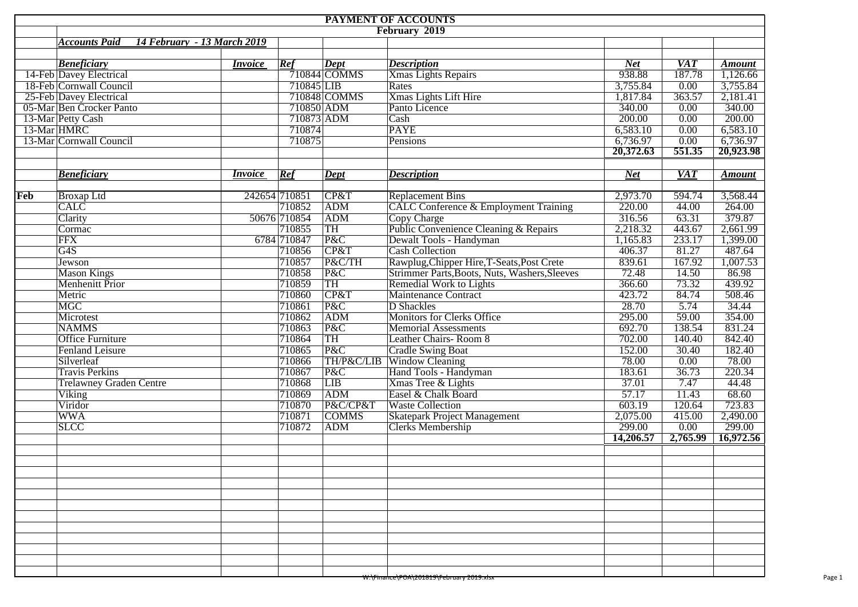|             |                                                     |                |               |                | <b>PAYMENT OF ACCOUNTS</b>                       |                    |            |               |
|-------------|-----------------------------------------------------|----------------|---------------|----------------|--------------------------------------------------|--------------------|------------|---------------|
|             |                                                     |                |               |                | February 2019                                    |                    |            |               |
|             | 14 February - 13 March 2019<br><b>Accounts Paid</b> |                |               |                |                                                  |                    |            |               |
|             |                                                     |                |               |                |                                                  |                    |            |               |
|             | <b>Beneficiary</b>                                  | <i>Invoice</i> | Ref           | Dept           | <b>Description</b>                               | <b>Net</b>         | <b>VAT</b> | <b>Amount</b> |
|             | 14-Feb Davey Electrical                             |                |               | $710844$ COMMS | Xmas Lights Repairs                              | 938.88             | 187.78     | 1,126.66      |
|             | 18-Feb Cornwall Council                             |                | 710845 LIB    |                | Rates                                            | 3,755.84           | 0.00       | 3,755.84      |
|             | 25-Feb Davey Electrical                             |                |               | 710848 COMMS   | Xmas Lights Lift Hire                            | 1,817.84           | 363.57     | 2,181.41      |
|             | 05-Mar Ben Crocker Panto                            |                | 710850 ADM    |                | Panto Licence                                    | 340.00             | 0.00       | 340.00        |
| 13-Mar HMRC | 13-Mar Petty Cash                                   |                | 710873 ADM    |                | Cash                                             | 200.00             | 0.00       | 200.00        |
|             |                                                     |                | 710874        |                | <b>PAYE</b>                                      | 6,583.10           | 0.00       | 6,583.10      |
|             | 13-Mar Cornwall Council                             |                | 710875        |                | Pensions                                         | 6,736.97           | 0.00       | 6,736.97      |
|             |                                                     |                |               |                |                                                  | 20,372.63          | 551.35     | 20,923.98     |
|             |                                                     |                |               |                |                                                  |                    |            |               |
|             | <b>Beneficiary</b>                                  | <i>Invoice</i> | Ref           | <b>Dept</b>    | <b>Description</b>                               | <b>Net</b>         | <b>VAT</b> | <b>Amount</b> |
|             |                                                     |                |               |                |                                                  |                    |            |               |
| Feb         | <b>Broxap Ltd</b>                                   |                | 242654 710851 | CP&T           | <b>Replacement Bins</b>                          | 2,973.70           | 594.74     | 3,568.44      |
|             | <b>CALC</b>                                         |                | 710852        | ADM            | <b>CALC Conference &amp; Employment Training</b> | 220.00             | 44.00      | 264.00        |
|             | Clarity                                             |                | 50676 710854  | ADM            | <b>Copy Charge</b>                               | 316.56             | 63.31      | 379.87        |
|             | Cormac                                              |                | 710855        | TH             | Public Convenience Cleaning & Repairs            | 2,218.32           | 443.67     | 2,661.99      |
|             | <b>FFX</b>                                          |                | 6784 710847   | P&C            | Dewalt Tools - Handyman                          | 1,165.83           | 233.17     | 1,399.00      |
|             | G4S                                                 |                | 710856        | CP&T           | <b>Cash Collection</b>                           | 406.37             | 81.27      | 487.64        |
|             | Jewson                                              |                | 710857        | P&C/TH         | Rawplug, Chipper Hire, T-Seats, Post Crete       | 839.61             | 167.92     | 1,007.53      |
|             | <b>Mason Kings</b>                                  |                | 710858        | P&C            | Strimmer Parts, Boots, Nuts, Washers, Sleeves    | 72.48              | 14.50      | 86.98         |
|             | Menhenitt Prior                                     |                | 710859        | TH             | <b>Remedial Work to Lights</b>                   | 366.60             | 73.32      | 439.92        |
|             | Metric                                              |                | 710860        | CP&T           | <b>Maintenance Contract</b>                      | 423.72             | 84.74      | 508.46        |
|             | MGC                                                 |                | 710861        | P&C            | D Shackles                                       | 28.70              | 5.74       | 34.44         |
|             | Microtest                                           |                | 710862        | <b>ADM</b>     | <b>Monitors for Clerks Office</b>                | 295.00             | 59.00      | 354.00        |
|             | <b>NAMMS</b>                                        |                | 710863        | P&C            | <b>Memorial Assessments</b>                      | 692.70             | 138.54     | 831.24        |
|             | <b>Office Furniture</b>                             |                | 710864        | TH             | <b>Leather Chairs-Room 8</b>                     | 702.00             | 140.40     | 842.40        |
|             | <b>Fenland Leisure</b>                              |                | 710865        | P&C            | <b>Cradle Swing Boat</b>                         | 152.00             | 30.40      | 182.40        |
|             | Silverleaf                                          |                | 710866        | TH/P&C/LIB     | <b>Window Cleaning</b>                           | 78.00              | 0.00       | 78.00         |
|             | <b>Travis Perkins</b>                               |                | 710867        | P&C            | Hand Tools - Handyman                            | 183.61             | 36.73      | 220.34        |
|             | <b>Trelawney Graden Centre</b>                      |                | 710868        | LIB            | Xmas Tree & Lights                               | 37.01              | 7.47       | 44.48         |
|             | Viking                                              |                | 710869        | ADM            | Easel & Chalk Board                              | $\overline{57.17}$ | 11.43      | 68.60         |
|             | Viridor                                             |                | 710870        | P&C/CP&T       | <b>Waste Collection</b>                          | 603.19             | 120.64     | 723.83        |
|             | <b>WWA</b>                                          |                | 710871        | <b>COMMS</b>   | <b>Skatepark Project Management</b>              | 2,075.00           | 415.00     | 2,490.00      |
|             | <b>SLCC</b>                                         |                | 710872        | <b>ADM</b>     | <b>Clerks Membership</b>                         | 299.00             | 0.00       | 299.00        |
|             |                                                     |                |               |                |                                                  | 14,206.57          | 2,765.99   | 16,972.56     |
|             |                                                     |                |               |                |                                                  |                    |            |               |
|             |                                                     |                |               |                |                                                  |                    |            |               |
|             |                                                     |                |               |                |                                                  |                    |            |               |
|             |                                                     |                |               |                |                                                  |                    |            |               |
|             |                                                     |                |               |                |                                                  |                    |            |               |
|             |                                                     |                |               |                |                                                  |                    |            |               |
|             |                                                     |                |               |                |                                                  |                    |            |               |
|             |                                                     |                |               |                |                                                  |                    |            |               |
|             |                                                     |                |               |                |                                                  |                    |            |               |
|             |                                                     |                |               |                |                                                  |                    |            |               |
|             |                                                     |                |               |                |                                                  |                    |            |               |
|             |                                                     |                |               |                |                                                  |                    |            |               |